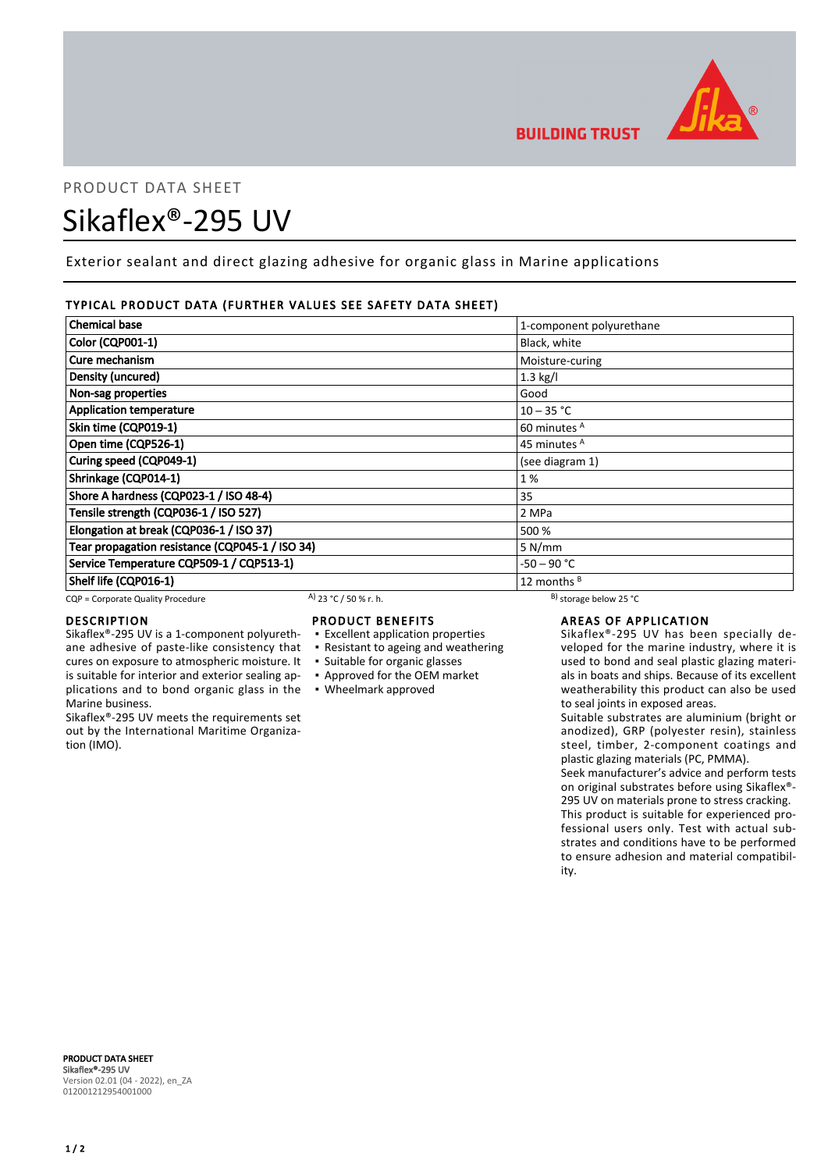

# PRODUCT DATA SHEET Sikaflex®-295 UV

Exterior sealant and direct glazing adhesive for organic glass in Marine applications

# TYPICAL PRODUCT DATA (FURTHER VALUES SEE SAFETY DATA SHEET)

| <b>Chemical base</b>                            | 1-component polyurethane |
|-------------------------------------------------|--------------------------|
| <b>Color (CQP001-1)</b>                         | Black, white             |
| Cure mechanism                                  | Moisture-curing          |
| Density (uncured)                               | $1.3$ kg/l               |
| Non-sag properties                              | Good                     |
| <b>Application temperature</b>                  | $10 - 35 °C$             |
| Skin time (CQP019-1)                            | 60 minutes <sup>A</sup>  |
| Open time (CQP526-1)                            | 45 minutes <sup>A</sup>  |
| Curing speed (CQP049-1)                         | (see diagram 1)          |
| Shrinkage (CQP014-1)                            | 1%                       |
| Shore A hardness (CQP023-1 / ISO 48-4)          | 35                       |
| Tensile strength (CQP036-1 / ISO 527)           | 2 MPa                    |
| Elongation at break (CQP036-1 / ISO 37)         | 500 %                    |
| Tear propagation resistance (CQP045-1 / ISO 34) | 5 N/mm                   |
| Service Temperature CQP509-1 / CQP513-1)        | $-50 - 90 °C$            |
| Shelf life (CQP016-1)                           | 12 months <sup>B</sup>   |

CQP = Corporate Quality Procedure A)  $23 °C / 50 %$  r. h. B) storage below 25 °C

cures on exposure to atmospheric moisture. It is suitable for interior and exterior sealing ap-

Sikaflex®-295 UV meets the requirements set out by the International Maritime Organiza-

# DESCRIPTION

Marine business.

tion (IMO).

# PRODUCT BENEFITS

- Sikaflex®-295 UV is a 1-component polyurethane adhesive of paste-like consistency that ▪ Excellent application properties
	- Resistant to ageing and weathering
	- Suitable for organic glasses
	- Approved for the OEM market
- plications and to bond organic glass in the Wheelmark approved

# AREAS OF APPLICATION

Sikaflex®-295 UV has been specially developed for the marine industry, where it is used to bond and seal plastic glazing materials in boats and ships. Because of its excellent weatherability this product can also be used to seal joints in exposed areas.

Suitable substrates are aluminium (bright or anodized), GRP (polyester resin), stainless steel, timber, 2-component coatings and plastic glazing materials (PC, PMMA).

Seek manufacturer's advice and perform tests on original substrates before using Sikaflex®- 295 UV on materials prone to stress cracking. This product is suitable for experienced professional users only. Test with actual substrates and conditions have to be performed to ensure adhesion and material compatibility.

PRODUCT DATA SHEET Sikaflex®-295 UV Version 02.01 (04 - 2022), en\_ZA 012001212954001000